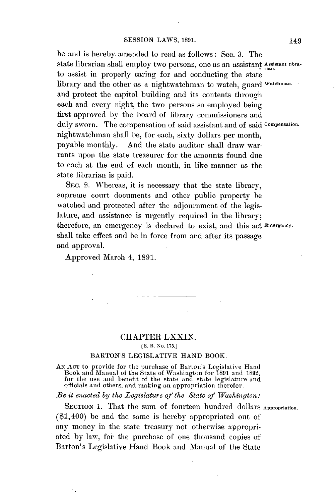**be** and is hereby amended to read as follows: Sec. **3.** The state librarian shall employ two persons, one as an assistant Assistant librato assist in properly caring for and conducting the state library and the other as a nightwatchman to watch, guard watehman. and protect the capitol building and its contents through each and every night, the two persons so employed being first approved **by** the board of library commissioners and duly sworn. The compensation of said assistant and of said Compensation. nightwatchman shall be, for each, sixty dollars per month, And the state auditor shall draw warrants upon the state treasurer for the amounts found due to each at the end of each month, in like manner as the state librarian is paid.

SEC. 2. Whereas, it is necessary that the state library, supreme court documents and other public property be watched and protected after the adjournment of the legislature, and assistance is urgently required in the library; therefore, an emergency is declared to exist, and this act Emergency. shall take effect and be in force from and after its passage and approval.

Approved March 4, **1891.**

## CHAPTER **LXXIX.**

**[S. B. No. 175.]**

## BARTON'S **LEGISLATIVE HAND** BOOK.

**AN ACT** to provide for the purchase of Barton's Legislative Hand Book and Manual of the State of Washington for **1891** and **1892,** for the use and benefit of the state and state legislature and officials and others, and making an appropriation therefor.

*Be it enacted by the Legislature of the State of Washington:*

SECTION 1. That the sum of fourteen hundred dollars Appropriation. (\$1,400) be and the same is hereby appropriated out of any money in the state treasury not otherwise **appropri**ated **by** law, for the purchase of one thousand copies of Barton's Legislative Hand Book and Manual of the State